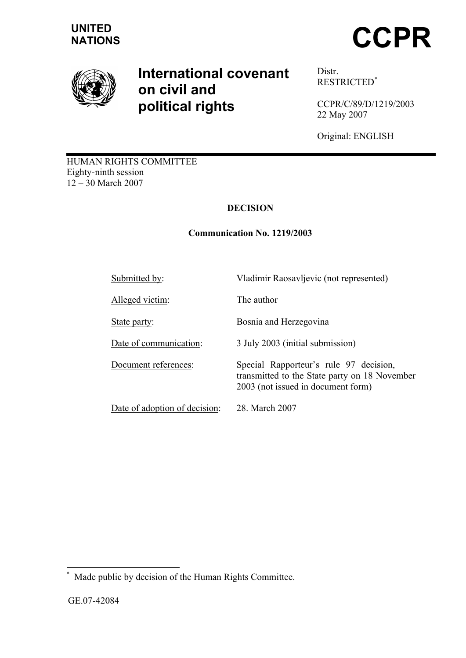

# **International covenant on civil and political rights**

Distr. RESTRICTED\*

CCPR/C/89/D/1219/2003 22 May 2007

Original: ENGLISH

HUMAN RIGHTS COMMITTEE Eighty-ninth session 12 – 30 March 2007

# **DECISION**

# **Communication No. 1219/2003**

Submitted by: Vladimir Raosavljevic (not represented) Alleged victim: The author State party: Bosnia and Herzegovina Date of communication: 3 July 2003 (initial submission) Document references: Special Rapporteur's rule 97 decision, transmitted to the State party on 18 November 2003 (not issued in document form) Date of adoption of decision: 28. March 2007

 $\overline{a}$ Made public by decision of the Human Rights Committee.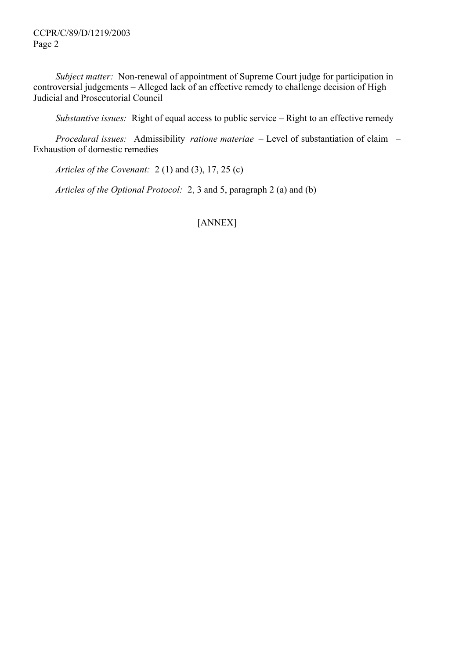CCPR/C/89/D/1219/2003 Page 2

*Subject matter:* Non-renewal of appointment of Supreme Court judge for participation in controversial judgements – Alleged lack of an effective remedy to challenge decision of High Judicial and Prosecutorial Council

*Substantive issues:* Right of equal access to public service – Right to an effective remedy

*Procedural issues:* Admissibility *ratione materiae* – Level of substantiation of claim – Exhaustion of domestic remedies

*Articles of the Covenant:* 2 (1) and (3), 17, 25 (c)

*Articles of the Optional Protocol:* 2, 3 and 5, paragraph 2 (a) and (b)

[ANNEX]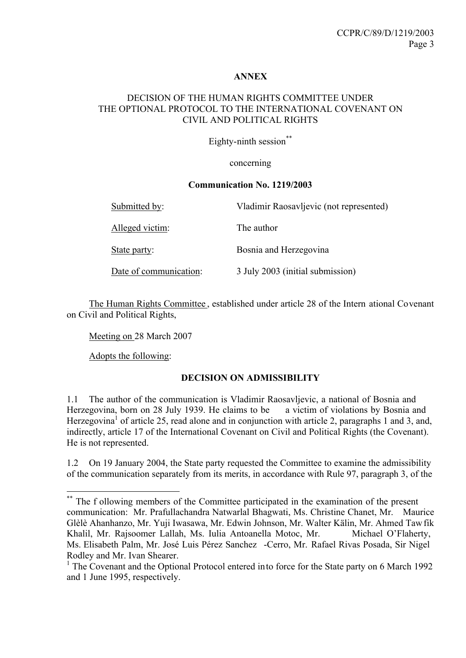## **ANNEX**

## DECISION OF THE HUMAN RIGHTS COMMITTEE UNDER THE OPTIONAL PROTOCOL TO THE INTERNATIONAL COVENANT ON CIVIL AND POLITICAL RIGHTS

Eighty-ninth session\*\*

#### concerning

#### **Communication No. 1219/2003**

| Submitted by:          | Vladimir Raosavljevic (not represented) |
|------------------------|-----------------------------------------|
| Alleged victim:        | The author                              |
| State party:           | Bosnia and Herzegovina                  |
| Date of communication: | 3 July 2003 (initial submission)        |

The Human Rights Committee , established under article 28 of the Intern ational Covenant on Civil and Political Rights,

Meeting on 28 March 2007

Adopts the following:

 $\overline{a}$ 

#### **DECISION ON ADMISSIBILITY**

1.1 The author of the communication is Vladimir Raosavljevic, a national of Bosnia and Herzegovina, born on 28 July 1939. He claims to be a victim of violations by Bosnia and Herzegovina<sup>1</sup> of article 25, read alone and in conjunction with article 2, paragraphs 1 and 3, and, indirectly, article 17 of the International Covenant on Civil and Political Rights (the Covenant). He is not represented.

1.2 On 19 January 2004, the State party requested the Committee to examine the admissibility of the communication separately from its merits, in accordance with Rule 97, paragraph 3, of the

<sup>\*\*</sup> The f ollowing members of the Committee participated in the examination of the present communication: Mr. Prafullachandra Natwarlal Bhagwati, Ms. Christine Chanet, Mr. Maurice Glèlè Ahanhanzo, Mr. Yuji Iwasawa, Mr. Edwin Johnson, Mr. Walter Kälin, Mr. Ahmed Tawfik Khalil, Mr. Rajsoomer Lallah, Ms. Iulia Antoanella Motoc, Mr. Michael O'Flaherty, Ms. Elisabeth Palm, Mr. José Luis Pérez Sanchez -Cerro, Mr. Rafael Rivas Posada, Sir Nigel Rodley and Mr. Ivan Shearer.

<sup>&</sup>lt;sup>1</sup> The Covenant and the Optional Protocol entered into force for the State party on 6 March 1992 and 1 June 1995, respectively.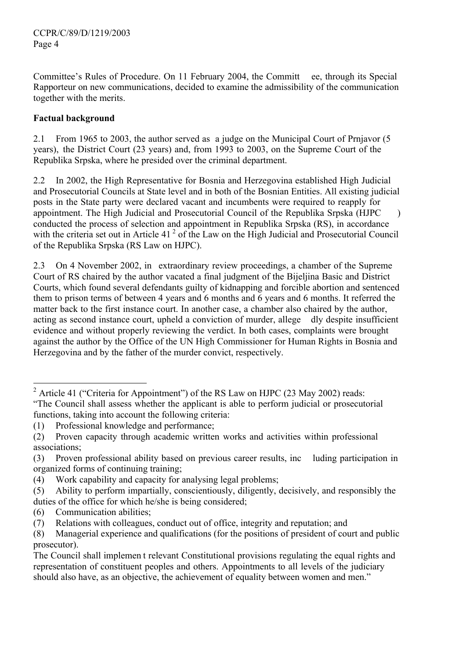Committee's Rules of Procedure. On 11 February 2004, the Committ ee, through its Special Rapporteur on new communications, decided to examine the admissibility of the communication together with the merits.

# **Factual background**

2.1 From 1965 to 2003, the author served as a judge on the Municipal Court of Prnjavor (5 years), the District Court (23 years) and, from 1993 to 2003, on the Supreme Court of the Republika Srpska, where he presided over the criminal department.

2.2 In 2002, the High Representative for Bosnia and Herzegovina established High Judicial and Prosecutorial Councils at State level and in both of the Bosnian Entities. All existing judicial posts in the State party were declared vacant and incumbents were required to reapply for appointment. The High Judicial and Prosecutorial Council of the Republika Srpska (HJPC ) conducted the process of selection and appointment in Republika Srpska (RS), in accordance with the criteria set out in Article 41<sup> $2$ </sup> of the Law on the High Judicial and Prosecutorial Council of the Republika Srpska (RS Law on HJPC).

2.3 On 4 November 2002, in extraordinary review proceedings, a chamber of the Supreme Court of RS chaired by the author vacated a final judgment of the Bijeljina Basic and District Courts, which found several defendants guilty of kidnapping and forcible abortion and sentenced them to prison terms of between 4 years and 6 months and 6 years and 6 months. It referred the matter back to the first instance court. In another case, a chamber also chaired by the author, acting as second instance court, upheld a conviction of murder, allege dly despite insufficient evidence and without properly reviewing the verdict. In both cases, complaints were brought against the author by the Office of the UN High Commissioner for Human Rights in Bosnia and Herzegovina and by the father of the murder convict, respectively.

(6) Communication abilities;

 $\overline{a}$ 

<sup>&</sup>lt;sup>2</sup> Article 41 ("Criteria for Appointment") of the RS Law on HJPC (23 May 2002) reads: "The Council shall assess whether the applicant is able to perform judicial or prosecutorial functions, taking into account the following criteria:

<sup>(1)</sup> Professional knowledge and performance;

<sup>(2)</sup> Proven capacity through academic written works and activities within professional associations;

<sup>(3)</sup> Proven professional ability based on previous career results, inc luding participation in organized forms of continuing training;

<sup>(4)</sup> Work capability and capacity for analysing legal problems;

<sup>(5)</sup> Ability to perform impartially, conscientiously, diligently, decisively, and responsibly the duties of the office for which he/she is being considered;

<sup>(7)</sup> Relations with colleagues, conduct out of office, integrity and reputation; and

<sup>(8)</sup> Managerial experience and qualifications (for the positions of president of court and public prosecutor).

The Council shall implemen t relevant Constitutional provisions regulating the equal rights and representation of constituent peoples and others. Appointments to all levels of the judiciary should also have, as an objective, the achievement of equality between women and men."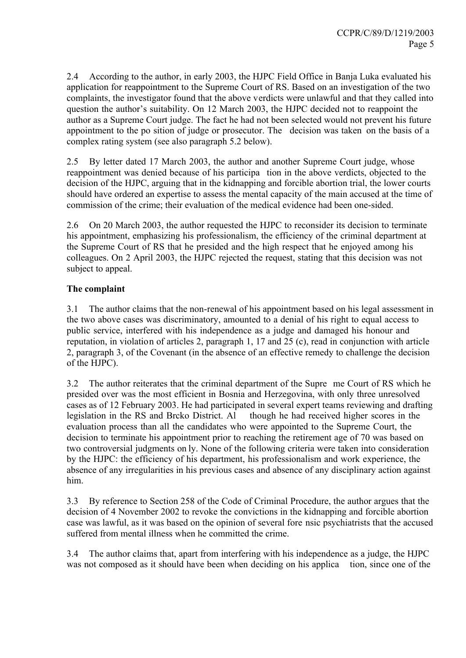2.4 According to the author, in early 2003, the HJPC Field Office in Banja Luka evaluated his application for reappointment to the Supreme Court of RS. Based on an investigation of the two complaints, the investigator found that the above verdicts were unlawful and that they called into question the author's suitability. On 12 March 2003, the HJPC decided not to reappoint the author as a Supreme Court judge. The fact he had not been selected would not prevent his future appointment to the po sition of judge or prosecutor. The decision was taken on the basis of a complex rating system (see also paragraph 5.2 below).

2.5 By letter dated 17 March 2003, the author and another Supreme Court judge, whose reappointment was denied because of his participa tion in the above verdicts, objected to the decision of the HJPC, arguing that in the kidnapping and forcible abortion trial, the lower courts should have ordered an expertise to assess the mental capacity of the main accused at the time of commission of the crime; their evaluation of the medical evidence had been one-sided.

2.6 On 20 March 2003, the author requested the HJPC to reconsider its decision to terminate his appointment, emphasizing his professionalism, the efficiency of the criminal department at the Supreme Court of RS that he presided and the high respect that he enjoyed among his colleagues. On 2 April 2003, the HJPC rejected the request, stating that this decision was not subject to appeal.

## **The complaint**

3.1 The author claims that the non-renewal of his appointment based on his legal assessment in the two above cases was discriminatory, amounted to a denial of his right to equal access to public service, interfered with his independence as a judge and damaged his honour and reputation, in violation of articles 2, paragraph 1, 17 and 25 (c), read in conjunction with article 2, paragraph 3, of the Covenant (in the absence of an effective remedy to challenge the decision of the HJPC).

3.2 The author reiterates that the criminal department of the Supre me Court of RS which he presided over was the most efficient in Bosnia and Herzegovina, with only three unresolved cases as of 12 February 2003. He had participated in several expert teams reviewing and drafting legislation in the RS and Brcko District. Al though he had received higher scores in the evaluation process than all the candidates who were appointed to the Supreme Court, the decision to terminate his appointment prior to reaching the retirement age of 70 was based on two controversial judgments on ly. None of the following criteria were taken into consideration by the HJPC: the efficiency of his department, his professionalism and work experience, the absence of any irregularities in his previous cases and absence of any disciplinary action against him.

3.3 By reference to Section 258 of the Code of Criminal Procedure, the author argues that the decision of 4 November 2002 to revoke the convictions in the kidnapping and forcible abortion case was lawful, as it was based on the opinion of several fore nsic psychiatrists that the accused suffered from mental illness when he committed the crime.

3.4 The author claims that, apart from interfering with his independence as a judge, the HJPC was not composed as it should have been when deciding on his applica tion, since one of the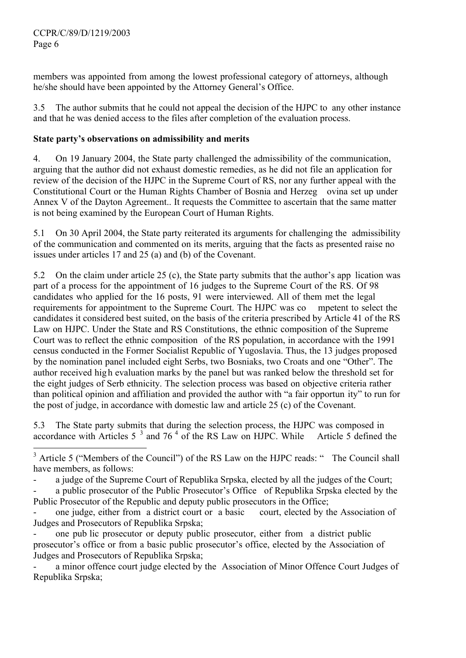$\overline{a}$ 

members was appointed from among the lowest professional category of attorneys, although he/she should have been appointed by the Attorney General's Office.

3.5 The author submits that he could not appeal the decision of the HJPC to any other instance and that he was denied access to the files after completion of the evaluation process.

## **State party's observations on admissibility and merits**

4. On 19 January 2004, the State party challenged the admissibility of the communication, arguing that the author did not exhaust domestic remedies, as he did not file an application for review of the decision of the HJPC in the Supreme Court of RS, nor any further appeal with the Constitutional Court or the Human Rights Chamber of Bosnia and Herzeg ovina set up under Annex V of the Dayton Agreement.. It requests the Committee to ascertain that the same matter is not being examined by the European Court of Human Rights.

5.1 On 30 April 2004, the State party reiterated its arguments for challenging the admissibility of the communication and commented on its merits, arguing that the facts as presented raise no issues under articles 17 and 25 (a) and (b) of the Covenant.

5.2 On the claim under article 25 (c), the State party submits that the author's app lication was part of a process for the appointment of 16 judges to the Supreme Court of the RS. Of 98 candidates who applied for the 16 posts, 91 were interviewed. All of them met the legal requirements for appointment to the Supreme Court. The HJPC was co mpetent to select the candidates it considered best suited, on the basis of the criteria prescribed by Article 41 of the RS Law on HJPC. Under the State and RS Constitutions, the ethnic composition of the Supreme Court was to reflect the ethnic composition of the RS population, in accordance with the 1991 census conducted in the Former Socialist Republic of Yugoslavia. Thus, the 13 judges proposed by the nomination panel included eight Serbs, two Bosniaks, two Croats and one "Other". The author received hig h evaluation marks by the panel but was ranked below the threshold set for the eight judges of Serb ethnicity. The selection process was based on objective criteria rather than political opinion and affiliation and provided the author with "a fair opportun ity" to run for the post of judge, in accordance with domestic law and article 25 (c) of the Covenant.

5.3 The State party submits that during the selection process, the HJPC was composed in accordance with Articles  $5^{-3}$  and  $76^{4}$  of the RS Law on HJPC. While Article 5 defined the

a judge of the Supreme Court of Republika Srpska, elected by all the judges of the Court;

a public prosecutor of the Public Prosecutor's Office of Republika Srpska elected by the Public Prosecutor of the Republic and deputy public prosecutors in the Office;

one judge, either from a district court or a basic court, elected by the Association of Judges and Prosecutors of Republika Srpska;

one pub lic prosecutor or deputy public prosecutor, either from a district public prosecutor's office or from a basic public prosecutor's office, elected by the Association of Judges and Prosecutors of Republika Srpska;

a minor offence court judge elected by the Association of Minor Offence Court Judges of Republika Srpska;

 $3$  Article 5 ("Members of the Council") of the RS Law on the HJPC reads: " The Council shall have members, as follows: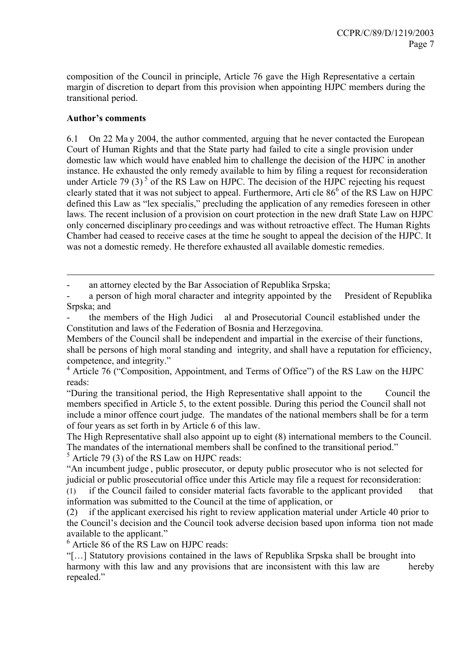composition of the Council in principle, Article 76 gave the High Representative a certain margin of discretion to depart from this provision when appointing HJPC members during the transitional period.

## **Author's comments**

 $\overline{a}$ 

6.1 On 22 Ma y 2004, the author commented, arguing that he never contacted the European Court of Human Rights and that the State party had failed to cite a single provision under domestic law which would have enabled him to challenge the decision of the HJPC in another instance. He exhausted the only remedy available to him by filing a request for reconsideration under Article 79 (3)<sup>5</sup> of the RS Law on HJPC. The decision of the HJPC rejecting his request clearly stated that it was not subject to appeal. Furthermore, Arti cle  $86^{\circ}$  of the RS Law on HJPC defined this Law as "lex specialis," precluding the application of any remedies foreseen in other laws. The recent inclusion of a provision on court protection in the new draft State Law on HJPC only concerned disciplinary pro ceedings and was without retroactive effect. The Human Rights Chamber had ceased to receive cases at the time he sought to appeal the decision of the HJPC. It was not a domestic remedy. He therefore exhausted all available domestic remedies.

an attorney elected by the Bar Association of Republika Srpska;

a person of high moral character and integrity appointed by the President of Republika Srpska; and

- the members of the High Judici al and Prosecutorial Council established under the Constitution and laws of the Federation of Bosnia and Herzegovina.

Members of the Council shall be independent and impartial in the exercise of their functions, shall be persons of high moral standing and integrity, and shall have a reputation for efficiency, competence, and integrity."

<sup>4</sup> Article 76 ("Composition, Appointment, and Terms of Office") of the RS Law on the HJPC reads:

"During the transitional period, the High Representative shall appoint to the Council the members specified in Article 5, to the extent possible. During this period the Council shall not include a minor offence court judge. The mandates of the national members shall be for a term of four years as set forth in by Article 6 of this law.

The High Representative shall also appoint up to eight (8) international members to the Council. The mandates of the international members shall be confined to the transitional period."

 $<sup>5</sup>$  Article 79 (3) of the RS Law on HJPC reads:</sup>

"An incumbent judge , public prosecutor, or deputy public prosecutor who is not selected for judicial or public prosecutorial office under this Article may file a request for reconsideration:

(1) if the Council failed to consider material facts favorable to the applicant provided that information was submitted to the Council at the time of application, or

(2) if the applicant exercised his right to review application material under Article 40 prior to the Council's decision and the Council took adverse decision based upon informa tion not made available to the applicant."

<sup>6</sup> Article 86 of the RS Law on HJPC reads:

"[…] Statutory provisions contained in the laws of Republika Srpska shall be brought into harmony with this law and any provisions that are inconsistent with this law are hereby repealed."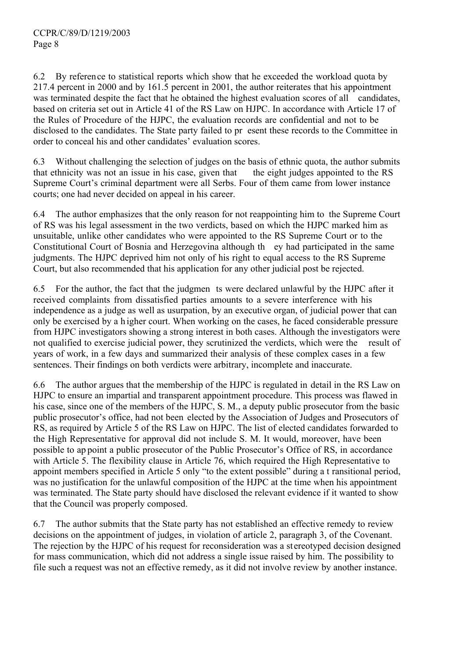6.2 By reference to statistical reports which show that he exceeded the workload quota by 217.4 percent in 2000 and by 161.5 percent in 2001, the author reiterates that his appointment was terminated despite the fact that he obtained the highest evaluation scores of all candidates, based on criteria set out in Article 41 of the RS Law on HJPC. In accordance with Article 17 of the Rules of Procedure of the HJPC, the evaluation records are confidential and not to be disclosed to the candidates. The State party failed to pr esent these records to the Committee in order to conceal his and other candidates' evaluation scores.

6.3 Without challenging the selection of judges on the basis of ethnic quota, the author submits that ethnicity was not an issue in his case, given that the eight judges appointed to the RS Supreme Court's criminal department were all Serbs. Four of them came from lower instance courts; one had never decided on appeal in his career.

6.4 The author emphasizes that the only reason for not reappointing him to the Supreme Court of RS was his legal assessment in the two verdicts, based on which the HJPC marked him as unsuitable, unlike other candidates who were appointed to the RS Supreme Court or to the Constitutional Court of Bosnia and Herzegovina although th ey had participated in the same judgments. The HJPC deprived him not only of his right to equal access to the RS Supreme Court, but also recommended that his application for any other judicial post be rejected.

6.5 For the author, the fact that the judgmen ts were declared unlawful by the HJPC after it received complaints from dissatisfied parties amounts to a severe interference with his independence as a judge as well as usurpation, by an executive organ, of judicial power that can only be exercised by a h igher court. When working on the cases, he faced considerable pressure from HJPC investigators showing a strong interest in both cases. Although the investigators were not qualified to exercise judicial power, they scrutinized the verdicts, which were the result of years of work, in a few days and summarized their analysis of these complex cases in a few sentences. Their findings on both verdicts were arbitrary, incomplete and inaccurate.

6.6 The author argues that the membership of the HJPC is regulated in detail in the RS Law on HJPC to ensure an impartial and transparent appointment procedure. This process was flawed in his case, since one of the members of the HJPC, S. M., a deputy public prosecutor from the basic public prosecutor's office, had not been elected by the Association of Judges and Prosecutors of RS, as required by Article 5 of the RS Law on HJPC. The list of elected candidates forwarded to the High Representative for approval did not include S. M. It would, moreover, have been possible to ap point a public prosecutor of the Public Prosecutor's Office of RS, in accordance with Article 5. The flexibility clause in Article 76, which required the High Representative to appoint members specified in Article 5 only "to the extent possible" during a t ransitional period, was no justification for the unlawful composition of the HJPC at the time when his appointment was terminated. The State party should have disclosed the relevant evidence if it wanted to show that the Council was properly composed.

6.7 The author submits that the State party has not established an effective remedy to review decisions on the appointment of judges, in violation of article 2, paragraph 3, of the Covenant. The rejection by the HJPC of his request for reconsideration was a stereotyped decision designed for mass communication, which did not address a single issue raised by him. The possibility to file such a request was not an effective remedy, as it did not involve review by another instance.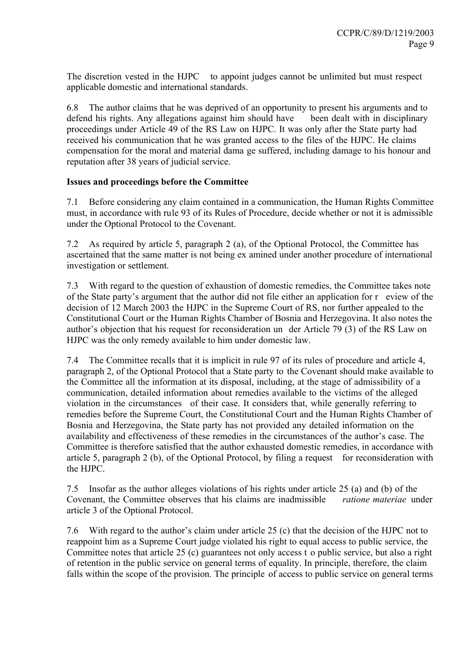The discretion vested in the HJPC to appoint judges cannot be unlimited but must respect applicable domestic and international standards.

6.8 The author claims that he was deprived of an opportunity to present his arguments and to defend his rights. Any allegations against him should have been dealt with in disciplinary proceedings under Article 49 of the RS Law on HJPC. It was only after the State party had received his communication that he was granted access to the files of the HJPC. He claims compensation for the moral and material dama ge suffered, including damage to his honour and reputation after 38 years of judicial service.

## **Issues and proceedings before the Committee**

7.1 Before considering any claim contained in a communication, the Human Rights Committee must, in accordance with rule 93 of its Rules of Procedure, decide whether or not it is admissible under the Optional Protocol to the Covenant.

7.2 As required by article 5, paragraph 2 (a), of the Optional Protocol, the Committee has ascertained that the same matter is not being ex amined under another procedure of international investigation or settlement.

7.3 With regard to the question of exhaustion of domestic remedies, the Committee takes note of the State party's argument that the author did not file either an application for r eview of the decision of 12 March 2003 the HJPC in the Supreme Court of RS, nor further appealed to the Constitutional Court or the Human Rights Chamber of Bosnia and Herzegovina. It also notes the author's objection that his request for reconsideration un der Article 79 (3) of the RS Law on HJPC was the only remedy available to him under domestic law.

7.4 The Committee recalls that it is implicit in rule 97 of its rules of procedure and article 4, paragraph 2, of the Optional Protocol that a State party to the Covenant should make available to the Committee all the information at its disposal, including, at the stage of admissibility of a communication, detailed information about remedies available to the victims of the alleged violation in the circumstances of their case. It considers that, while generally referring to remedies before the Supreme Court, the Constitutional Court and the Human Rights Chamber of Bosnia and Herzegovina, the State party has not provided any detailed information on the availability and effectiveness of these remedies in the circumstances of the author's case. The Committee is therefore satisfied that the author exhausted domestic remedies, in accordance with article 5, paragraph 2 (b), of the Optional Protocol, by filing a request for reconsideration with the HJPC.

7.5 Insofar as the author alleges violations of his rights under article 25 (a) and (b) of the Covenant, the Committee observes that his claims are inadmissible *ratione materiae* under article 3 of the Optional Protocol.

7.6 With regard to the author's claim under article 25 (c) that the decision of the HJPC not to reappoint him as a Supreme Court judge violated his right to equal access to public service, the Committee notes that article 25 (c) guarantees not only access t o public service, but also a right of retention in the public service on general terms of equality. In principle, therefore, the claim falls within the scope of the provision. The principle of access to public service on general terms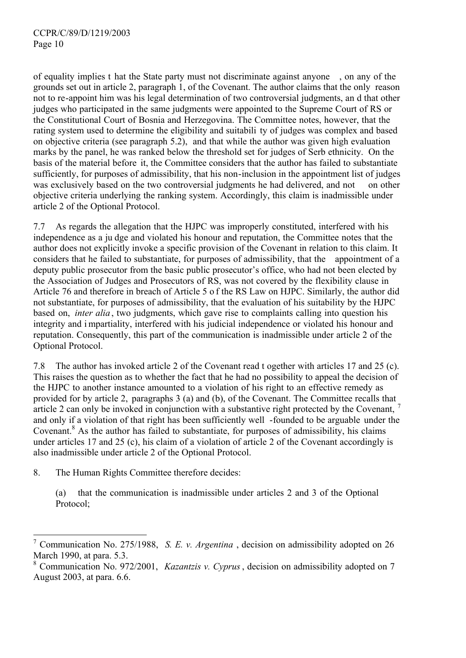of equality implies t hat the State party must not discriminate against anyone , on any of the grounds set out in article 2, paragraph 1, of the Covenant. The author claims that the only reason not to re-appoint him was his legal determination of two controversial judgments, an d that other judges who participated in the same judgments were appointed to the Supreme Court of RS or the Constitutional Court of Bosnia and Herzegovina. The Committee notes, however, that the rating system used to determine the eligibility and suitabili ty of judges was complex and based on objective criteria (see paragraph 5.2), and that while the author was given high evaluation marks by the panel, he was ranked below the threshold set for judges of Serb ethnicity. On the basis of the material before it, the Committee considers that the author has failed to substantiate sufficiently, for purposes of admissibility, that his non-inclusion in the appointment list of judges was exclusively based on the two controversial judgments he had delivered, and not on other objective criteria underlying the ranking system. Accordingly, this claim is inadmissible under article 2 of the Optional Protocol.

7.7 As regards the allegation that the HJPC was improperly constituted, interfered with his independence as a ju dge and violated his honour and reputation, the Committee notes that the author does not explicitly invoke a specific provision of the Covenant in relation to this claim. It considers that he failed to substantiate, for purposes of admissibility, that the appointment of a deputy public prosecutor from the basic public prosecutor's office, who had not been elected by the Association of Judges and Prosecutors of RS, was not covered by the flexibility clause in Article 76 and therefore in breach of Article 5 o f the RS Law on HJPC. Similarly, the author did not substantiate, for purposes of admissibility, that the evaluation of his suitability by the HJPC based on, *inter alia* , two judgments, which gave rise to complaints calling into question his integrity and i mpartiality, interfered with his judicial independence or violated his honour and reputation. Consequently, this part of the communication is inadmissible under article 2 of the Optional Protocol.

7.8 The author has invoked article 2 of the Covenant read t ogether with articles 17 and 25 (c). This raises the question as to whether the fact that he had no possibility to appeal the decision of the HJPC to another instance amounted to a violation of his right to an effective remedy as provided for by article 2, paragraphs 3 (a) and (b), of the Covenant. The Committee recalls that article 2 can only be invoked in conjunction with a substantive right protected by the Covenant, <sup>7</sup> and only if a violation of that right has been sufficiently well -founded to be arguable under the Covenant.<sup>8</sup> As the author has failed to substantiate, for purposes of admissibility, his claims under articles 17 and 25 (c), his claim of a violation of article 2 of the Covenant accordingly is also inadmissible under article 2 of the Optional Protocol.

8. The Human Rights Committee therefore decides:

 $\overline{a}$ 

(a) that the communication is inadmissible under articles 2 and 3 of the Optional Protocol;

<sup>7</sup> Communication No. 275/1988, *S. E. v. Argentina* , decision on admissibility adopted on 26 March 1990, at para. 5.3.

<sup>8</sup> Communication No. 972/2001, *Kazantzis v. Cyprus*, decision on admissibility adopted on 7 August 2003, at para. 6.6.